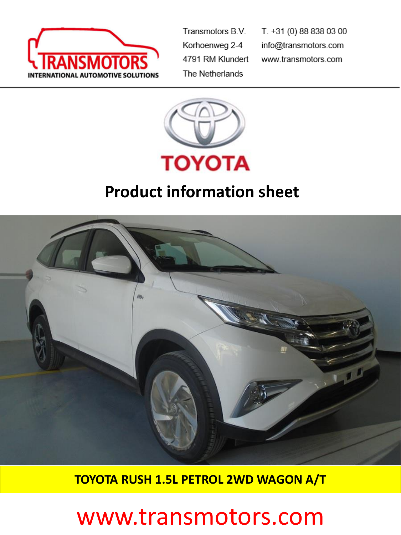

Transmotors B.V. Korhoenweg 2-4 4791 RM Klundert The Netherlands

T. +31 (0) 88 838 03 00 info@transmotors.com www.transmotors.com



## **Product information sheet**



**TOYOTA RUSH 1.5L PETROL 2WD WAGON A/T**

## www.transmotors.com